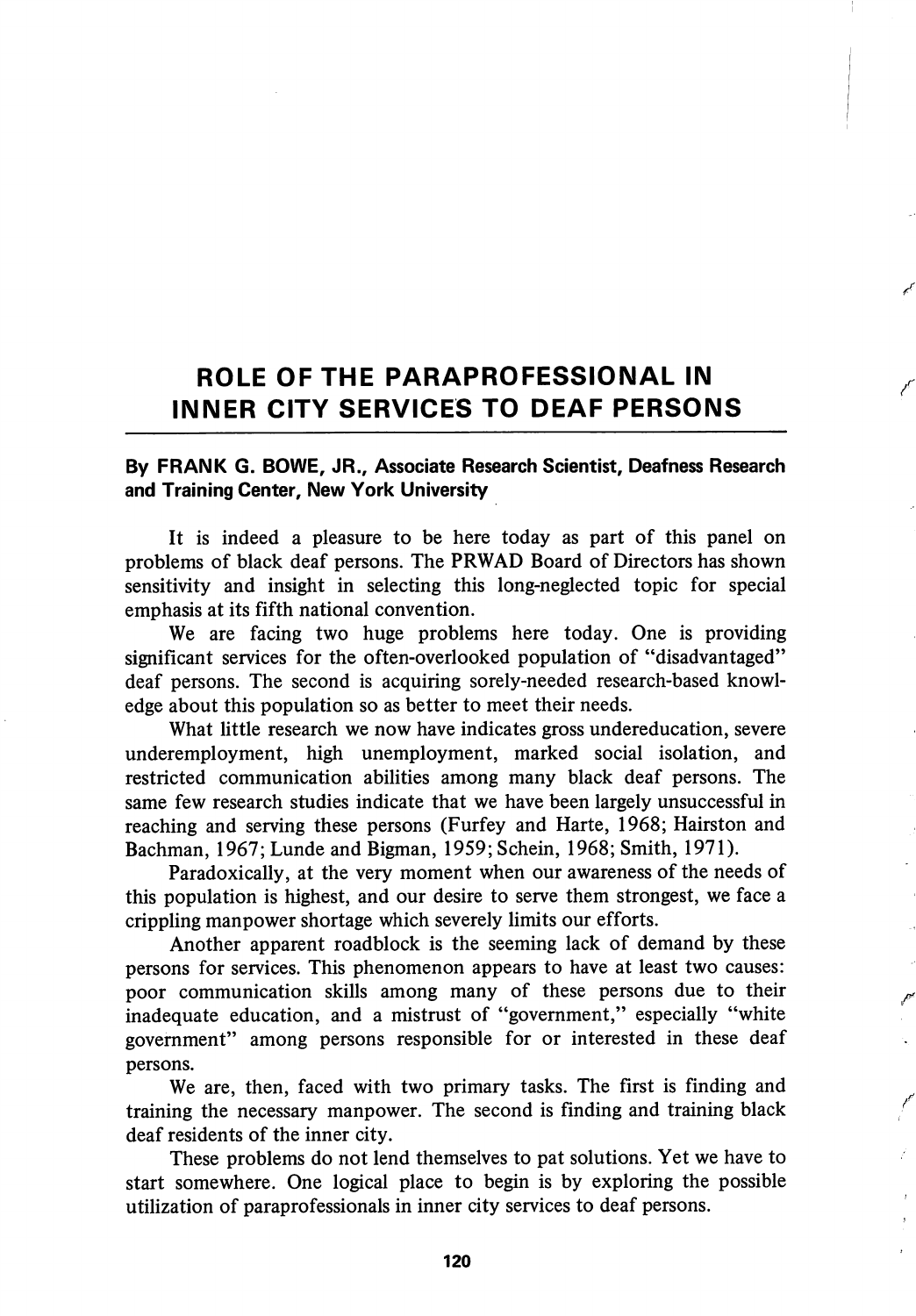## ROLE OF THE PARAPROFESSIONAL IN INNER CITY SERVICES TO DEAF PERSONS

## By FRANK G. BOWE, JR., Associate Research Scientist, Deafness Research and Training Center, New York University

It is indeed a pleasure to be here today as part of this panel on problems of black deaf persons. The PRWAD Board of Directors has shown sensitivity and insight in selecting this long-neglected topic for special emphasis at its fifth national convention.

We are facing two huge problems here today. One is providing significant services for the often-overlooked population of "disadvantaged" deaf persons. The second is acquiring sorely-needed research-based knowl edge about this population so as better to meet their needs.

What little research we now have indicates gross undereducation, severe underemployment, high unemployment, marked social isolation, and restricted communication abilities among many black deaf persons. The same few research studies indicate that we have been largely unsuccessful in reaching and serving these persons (Furfey and Harte, 1968; Hairston and Bachman, 1967;Lunde and Bigman, 1959;Schein, 1968; Smith, 1971).

Paradoxically, at the very moment when our awareness of the needs of this population is highest, and our desire to serve them strongest, we face a crippling manpower shortage which severely limits our efforts.

Another apparent roadblock is the seeming lack of demand by these persons for services. This phenomenon appears to have at least two causes: poor communication skills among many of these persons due to their inadequate education, and a mistrust of "government," especially "white government" among persons responsible for or interested in these deaf persons.

We are, then, faced with two primary tasks. The first is finding and training the necessary manpower. The second is finding and training black deaf residents of the inner city.

These problems do not lend themselves to pat solutions. Yet we have to start somewhere. One logical place to begin is by exploring the possible utilization of paraprofessionals in inner city services to deaf persons.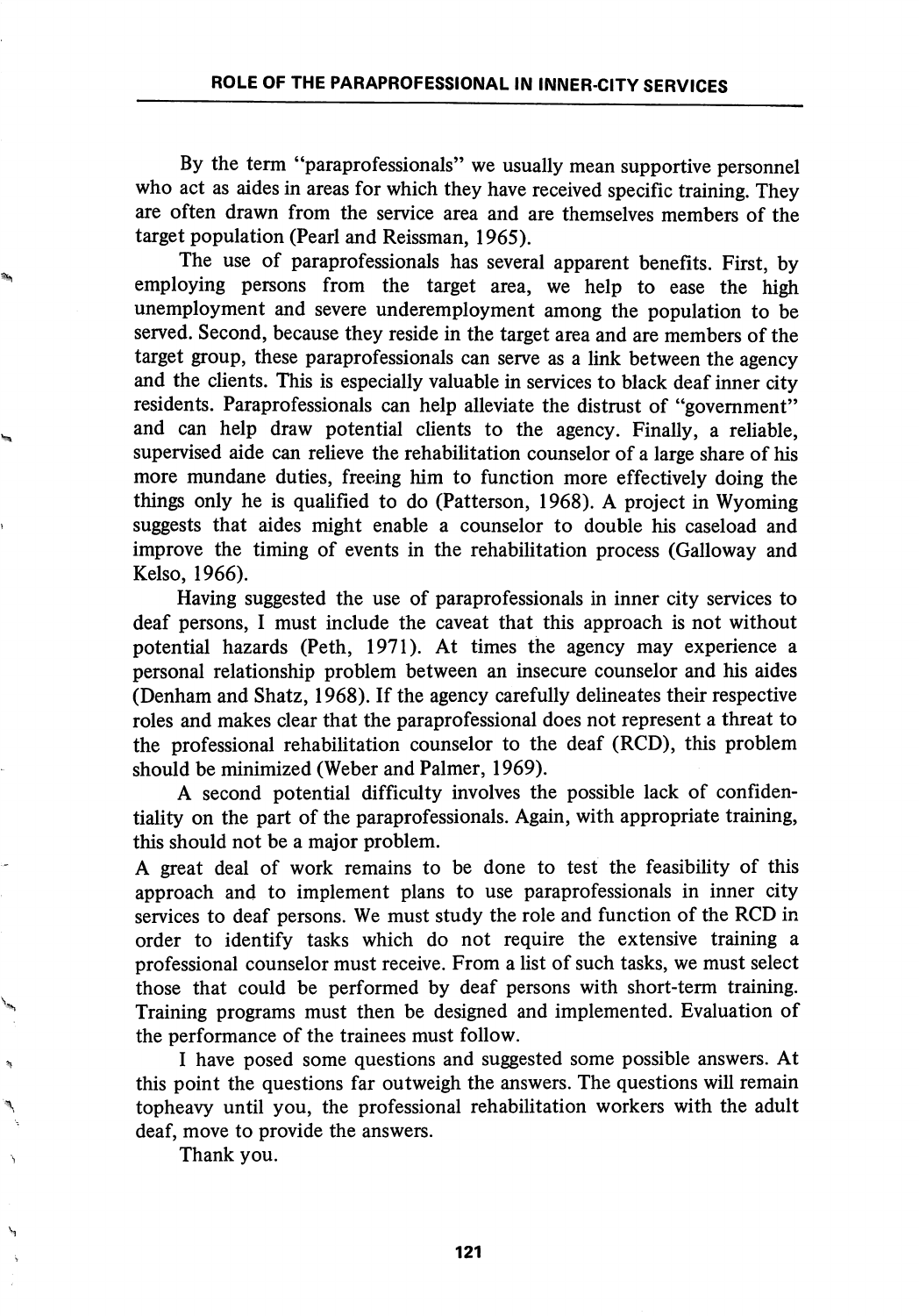By the term "paraprofessionals" we usually mean supportive personnel who act as aides in areas for which they have received specific training. They are often drawn from the service area and are themselves members of the target population (Pearl and Reissman, 1965).

The use of paraprofessionals has several apparent benefits. First, by employing persons from the target area, we help to ease the high unemployment and severe underemployment among the population to be served. Second, because they reside in the target area and are members of the target group, these paraprofessionals can serve as a link between the agency and the clients. This is especially valuable in services to black deaf inner city residents. Paraprofessionals can help alleviate the distrust of "government" and can help draw potential clients to the agency. Finally, a reliable, supervised aide can relieve the rehabihtation counselor of a large share of his more mundane duties, freeing him to function more effectively doing the things only he is qualified to do (Patterson, 1968). A project in Wyoming suggests that aides might enable a counselor to double his caseload and improve the timing of events in the rehabilitation process (Galloway and Kelso, 1966).

Having suggested the use of paraprofessionals in inner city services to deaf persons, I must include the caveat that this approach is not without potential hazards (Peth, 1971). At times the agency may experience a personal relationship problem between an insecure counselor and his aides (Denham and Shatz, 1968). If the agency carefully delineates their respective roles and makes clear that the paraprofessional does not represent a threat to the professional rehabilitation counselor to the deaf (RCD), this problem should be minimized (Weber and Palmer, 1969).

A second potential difficulty involves the possible lack of confiden tiality on the part of the paraprofessionals. Again, with appropriate training, this should not be a major problem.

A great deal of work remains to be done to test the feasibility of this approach and to implement plans to use paraprofessionals in inner city services to deaf persons. We must study the role and function of the RCD in order to identify tasks which do not require the extensive training a professional counselor must receive. From a list of such tasks, we must select those that could be performed by deaf persons with short-term training. Training programs must then be designed and implemented. Evaluation of the performance of the trainees must follow.

I have posed some questions and suggested some possible answers. At this point the questions far outweigh the answers. The questions will remain topheavy until you, the professional rehabilitation workers with the adult deaf, move to provide the answers.

Thank you.

Ą